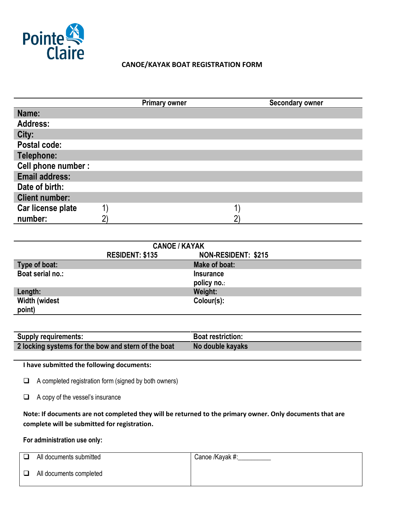

# **CANOE/KAYAK BOAT REGISTRATION FORM**

|                       | <b>Primary owner</b> | <b>Secondary owner</b> |
|-----------------------|----------------------|------------------------|
| Name:                 |                      |                        |
| <b>Address:</b>       |                      |                        |
| City:                 |                      |                        |
| Postal code:          |                      |                        |
| Telephone:            |                      |                        |
| Cell phone number :   |                      |                        |
| <b>Email address:</b> |                      |                        |
| Date of birth:        |                      |                        |
| <b>Client number:</b> |                      |                        |
| Car license plate     |                      |                        |
| number:               |                      |                        |

| <b>CANOE / KAYAK</b> |                        |                     |  |
|----------------------|------------------------|---------------------|--|
|                      | <b>RESIDENT: \$135</b> | NON-RESIDENT: \$215 |  |
| Type of boat:        |                        | Make of boat:       |  |
| Boat serial no.:     |                        | <b>Insurance</b>    |  |
|                      |                        | policy no.:         |  |
| Length:              |                        | Weight:             |  |
| <b>Width (widest</b> |                        | Colour(s):          |  |
| point)               |                        |                     |  |

| <b>Supply requirements:</b>                         | <b>Boat restriction:</b> |
|-----------------------------------------------------|--------------------------|
| 2 locking systems for the bow and stern of the boat | No double kayaks         |

**I have submitted the following documents:**

 $\Box$  A completed registration form (signed by both owners)

A copy of the vessel's insurance

**Note: If documents are not completed they will be returned to the primary owner. Only documents that are complete will be submitted for registration.**

**For administration use only:**

| n. | All documents submitted | Canoe /Kayak #: |
|----|-------------------------|-----------------|
| □  | All documents completed |                 |